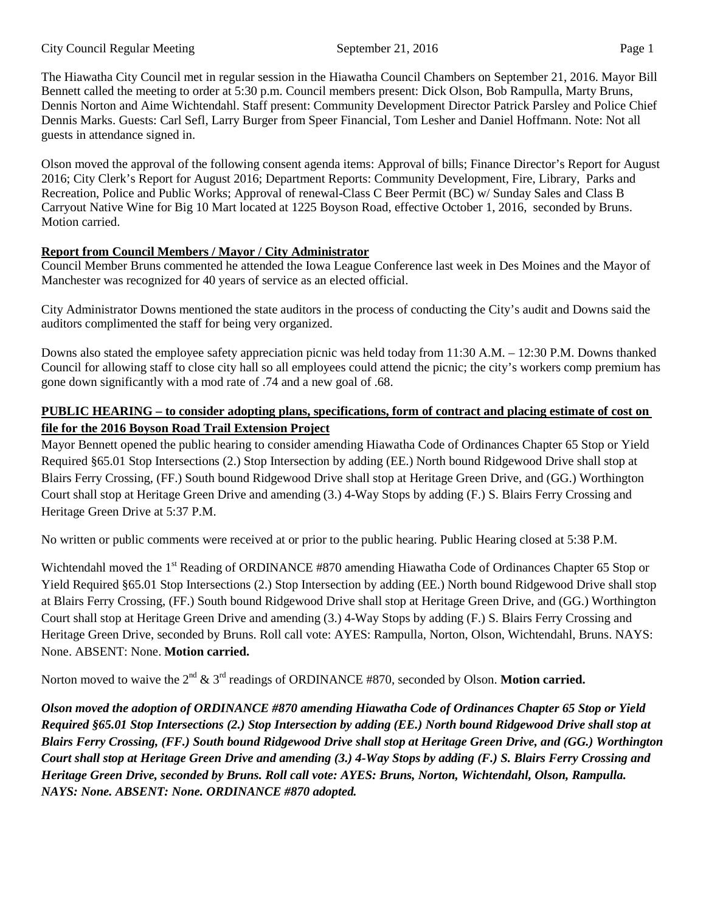The Hiawatha City Council met in regular session in the Hiawatha Council Chambers on September 21, 2016. Mayor Bill Bennett called the meeting to order at 5:30 p.m. Council members present: Dick Olson, Bob Rampulla, Marty Bruns, Dennis Norton and Aime Wichtendahl. Staff present: Community Development Director Patrick Parsley and Police Chief Dennis Marks. Guests: Carl Sefl, Larry Burger from Speer Financial, Tom Lesher and Daniel Hoffmann. Note: Not all guests in attendance signed in.

Olson moved the approval of the following consent agenda items: Approval of bills; Finance Director's Report for August 2016; City Clerk's Report for August 2016; Department Reports: Community Development, Fire, Library, Parks and Recreation, Police and Public Works; Approval of renewal-Class C Beer Permit (BC) w/ Sunday Sales and Class B Carryout Native Wine for Big 10 Mart located at 1225 Boyson Road, effective October 1, 2016, seconded by Bruns. Motion carried.

# **Report from Council Members / Mayor / City Administrator**

Council Member Bruns commented he attended the Iowa League Conference last week in Des Moines and the Mayor of Manchester was recognized for 40 years of service as an elected official.

City Administrator Downs mentioned the state auditors in the process of conducting the City's audit and Downs said the auditors complimented the staff for being very organized.

Downs also stated the employee safety appreciation picnic was held today from 11:30 A.M. – 12:30 P.M. Downs thanked Council for allowing staff to close city hall so all employees could attend the picnic; the city's workers comp premium has gone down significantly with a mod rate of .74 and a new goal of .68.

# **PUBLIC HEARING – to consider adopting plans, specifications, form of contract and placing estimate of cost on file for the 2016 Boyson Road Trail Extension Project**

Mayor Bennett opened the public hearing to consider amending Hiawatha Code of Ordinances Chapter 65 Stop or Yield Required §65.01 Stop Intersections (2.) Stop Intersection by adding (EE.) North bound Ridgewood Drive shall stop at Blairs Ferry Crossing, (FF.) South bound Ridgewood Drive shall stop at Heritage Green Drive, and (GG.) Worthington Court shall stop at Heritage Green Drive and amending (3.) 4-Way Stops by adding (F.) S. Blairs Ferry Crossing and Heritage Green Drive at 5:37 P.M.

No written or public comments were received at or prior to the public hearing. Public Hearing closed at 5:38 P.M.

Wichtendahl moved the 1<sup>st</sup> Reading of ORDINANCE #870 amending Hiawatha Code of Ordinances Chapter 65 Stop or Yield Required §65.01 Stop Intersections (2.) Stop Intersection by adding (EE.) North bound Ridgewood Drive shall stop at Blairs Ferry Crossing, (FF.) South bound Ridgewood Drive shall stop at Heritage Green Drive, and (GG.) Worthington Court shall stop at Heritage Green Drive and amending (3.) 4-Way Stops by adding (F.) S. Blairs Ferry Crossing and Heritage Green Drive, seconded by Bruns. Roll call vote: AYES: Rampulla, Norton, Olson, Wichtendahl, Bruns. NAYS: None. ABSENT: None. **Motion carried.** 

Norton moved to waive the 2<sup>nd</sup> & 3<sup>rd</sup> readings of ORDINANCE #870, seconded by Olson. **Motion carried.** 

*Olson moved the adoption of ORDINANCE #870 amending Hiawatha Code of Ordinances Chapter 65 Stop or Yield Required §65.01 Stop Intersections (2.) Stop Intersection by adding (EE.) North bound Ridgewood Drive shall stop at Blairs Ferry Crossing, (FF.) South bound Ridgewood Drive shall stop at Heritage Green Drive, and (GG.) Worthington Court shall stop at Heritage Green Drive and amending (3.) 4-Way Stops by adding (F.) S. Blairs Ferry Crossing and Heritage Green Drive, seconded by Bruns. Roll call vote: AYES: Bruns, Norton, Wichtendahl, Olson, Rampulla. NAYS: None. ABSENT: None. ORDINANCE #870 adopted.*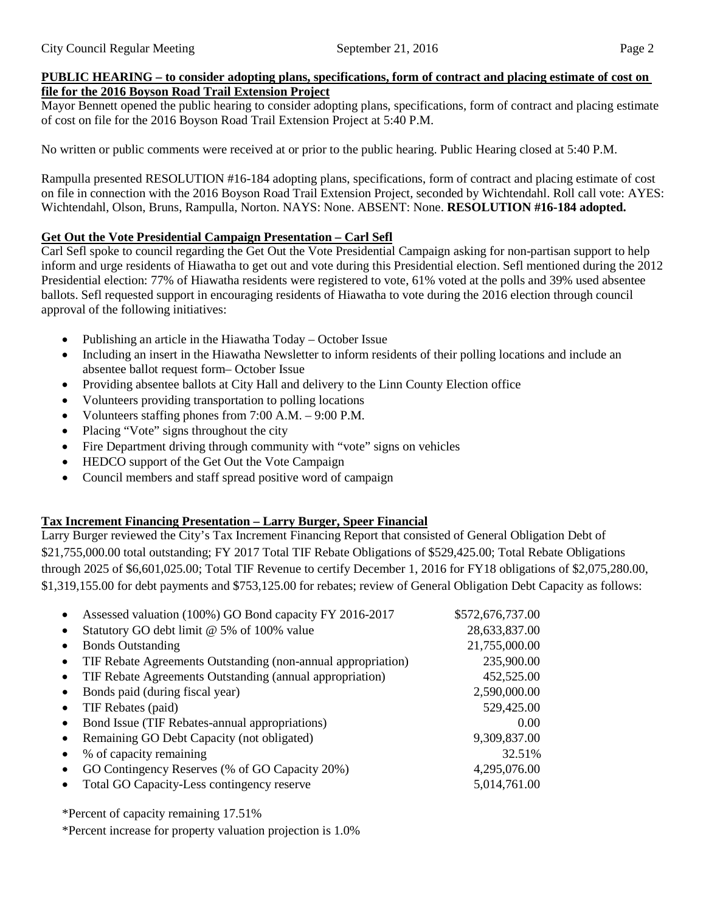#### **PUBLIC HEARING – to consider adopting plans, specifications, form of contract and placing estimate of cost on file for the 2016 Boyson Road Trail Extension Project**

Mayor Bennett opened the public hearing to consider adopting plans, specifications, form of contract and placing estimate of cost on file for the 2016 Boyson Road Trail Extension Project at 5:40 P.M.

No written or public comments were received at or prior to the public hearing. Public Hearing closed at 5:40 P.M.

Rampulla presented RESOLUTION #16-184 adopting plans, specifications, form of contract and placing estimate of cost on file in connection with the 2016 Boyson Road Trail Extension Project, seconded by Wichtendahl. Roll call vote: AYES: Wichtendahl, Olson, Bruns, Rampulla, Norton. NAYS: None. ABSENT: None. **RESOLUTION #16-184 adopted.** 

# **Get Out the Vote Presidential Campaign Presentation – Carl Sefl**

Carl Sefl spoke to council regarding the Get Out the Vote Presidential Campaign asking for non-partisan support to help inform and urge residents of Hiawatha to get out and vote during this Presidential election. Sefl mentioned during the 2012 Presidential election: 77% of Hiawatha residents were registered to vote, 61% voted at the polls and 39% used absentee ballots. Sefl requested support in encouraging residents of Hiawatha to vote during the 2016 election through council approval of the following initiatives:

- Publishing an article in the Hiawatha Today October Issue
- Including an insert in the Hiawatha Newsletter to inform residents of their polling locations and include an absentee ballot request form– October Issue
- Providing absentee ballots at City Hall and delivery to the Linn County Election office
- Volunteers providing transportation to polling locations
- Volunteers staffing phones from 7:00 A.M. 9:00 P.M.
- Placing "Vote" signs throughout the city
- Fire Department driving through community with "vote" signs on vehicles
- HEDCO support of the Get Out the Vote Campaign
- Council members and staff spread positive word of campaign

# **Tax Increment Financing Presentation – Larry Burger, Speer Financial**

Larry Burger reviewed the City's Tax Increment Financing Report that consisted of General Obligation Debt of \$21,755,000.00 total outstanding; FY 2017 Total TIF Rebate Obligations of \$529,425.00; Total Rebate Obligations through 2025 of \$6,601,025.00; Total TIF Revenue to certify December 1, 2016 for FY18 obligations of \$2,075,280.00, \$1,319,155.00 for debt payments and \$753,125.00 for rebates; review of General Obligation Debt Capacity as follows:

| $\bullet$ | Assessed valuation (100%) GO Bond capacity FY 2016-2017      | \$572,676,737.00 |
|-----------|--------------------------------------------------------------|------------------|
| $\bullet$ | Statutory GO debt limit @ 5% of 100% value                   | 28,633,837.00    |
| $\bullet$ | <b>Bonds Outstanding</b>                                     | 21,755,000.00    |
| $\bullet$ | TIF Rebate Agreements Outstanding (non-annual appropriation) | 235,900.00       |
| $\bullet$ | TIF Rebate Agreements Outstanding (annual appropriation)     | 452,525.00       |
| $\bullet$ | Bonds paid (during fiscal year)                              | 2,590,000.00     |
| $\bullet$ | TIF Rebates (paid)                                           | 529,425.00       |
| $\bullet$ | Bond Issue (TIF Rebates-annual appropriations)               | 0.00             |
| $\bullet$ | Remaining GO Debt Capacity (not obligated)                   | 9,309,837.00     |
| $\bullet$ | % of capacity remaining                                      | 32.51%           |
| $\bullet$ | GO Contingency Reserves (% of GO Capacity 20%)               | 4,295,076.00     |
| $\bullet$ | Total GO Capacity-Less contingency reserve                   | 5,014,761.00     |
|           |                                                              |                  |

\*Percent of capacity remaining 17.51%

\*Percent increase for property valuation projection is 1.0%